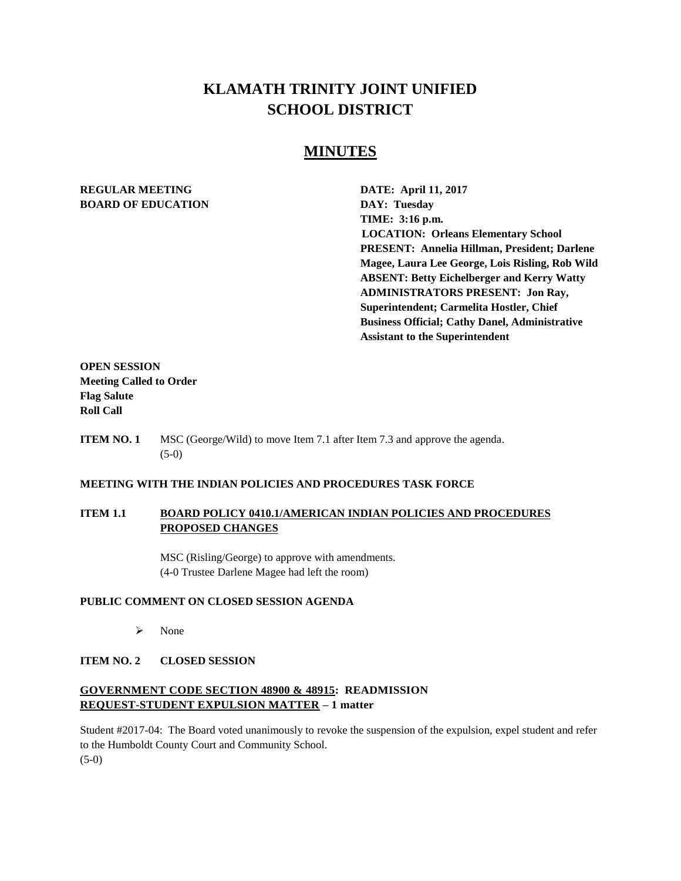# **KLAMATH TRINITY JOINT UNIFIED SCHOOL DISTRICT**

# **MINUTES**

# **REGULAR MEETING DATE: April 11, 2017 BOARD OF EDUCATION DAY: Tuesday**

**TIME: 3:16 p.m. LOCATION: Orleans Elementary School PRESENT: Annelia Hillman, President; Darlene Magee, Laura Lee George, Lois Risling, Rob Wild ABSENT: Betty Eichelberger and Kerry Watty ADMINISTRATORS PRESENT: Jon Ray, Superintendent; Carmelita Hostler, Chief Business Official; Cathy Danel, Administrative Assistant to the Superintendent** 

**OPEN SESSION Meeting Called to Order Flag Salute Roll Call**

**ITEM NO. 1** MSC (George/Wild) to move Item 7.1 after Item 7.3 and approve the agenda. (5-0)

#### **MEETING WITH THE INDIAN POLICIES AND PROCEDURES TASK FORCE**

## **ITEM 1.1 BOARD POLICY 0410.1/AMERICAN INDIAN POLICIES AND PROCEDURES PROPOSED CHANGES**

MSC (Risling/George) to approve with amendments. (4-0 Trustee Darlene Magee had left the room)

#### **PUBLIC COMMENT ON CLOSED SESSION AGENDA**

> None

#### **ITEM NO. 2 CLOSED SESSION**

# **GOVERNMENT CODE SECTION 48900 & 48915: READMISSION REQUEST-STUDENT EXPULSION MATTER – 1 matter**

Student #2017-04: The Board voted unanimously to revoke the suspension of the expulsion, expel student and refer to the Humboldt County Court and Community School. (5-0)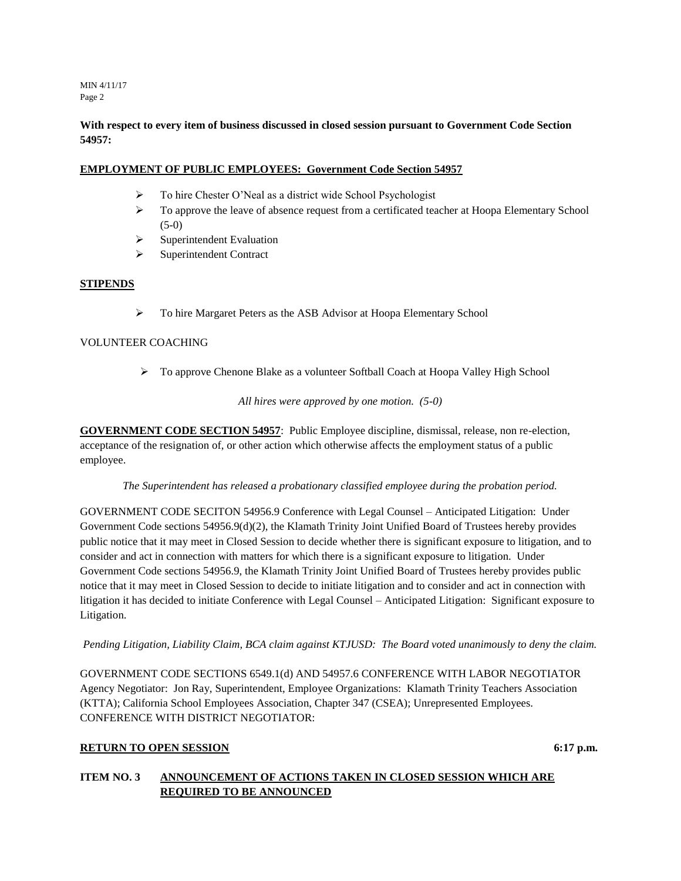MIN 4/11/17 Page 2

# **With respect to every item of business discussed in closed session pursuant to Government Code Section 54957:**

# **EMPLOYMENT OF PUBLIC EMPLOYEES: Government Code Section 54957**

- > To hire Chester O'Neal as a district wide School Psychologist
- $\triangleright$  To approve the leave of absence request from a certificated teacher at Hoopa Elementary School  $(5-0)$
- $\triangleright$  Superintendent Evaluation
- > Superintendent Contract

### **STIPENDS**

To hire Margaret Peters as the ASB Advisor at Hoopa Elementary School

# VOLUNTEER COACHING

To approve Chenone Blake as a volunteer Softball Coach at Hoopa Valley High School

*All hires were approved by one motion. (5-0)*

**GOVERNMENT CODE SECTION 54957**: Public Employee discipline, dismissal, release, non re-election, acceptance of the resignation of, or other action which otherwise affects the employment status of a public employee.

*The Superintendent has released a probationary classified employee during the probation period.* 

GOVERNMENT CODE SECITON 54956.9 Conference with Legal Counsel – Anticipated Litigation: Under Government Code sections 54956.9(d)(2), the Klamath Trinity Joint Unified Board of Trustees hereby provides public notice that it may meet in Closed Session to decide whether there is significant exposure to litigation, and to consider and act in connection with matters for which there is a significant exposure to litigation. Under Government Code sections 54956.9, the Klamath Trinity Joint Unified Board of Trustees hereby provides public notice that it may meet in Closed Session to decide to initiate litigation and to consider and act in connection with litigation it has decided to initiate Conference with Legal Counsel – Anticipated Litigation: Significant exposure to Litigation.

*Pending Litigation, Liability Claim, BCA claim against KTJUSD: The Board voted unanimously to deny the claim.*

GOVERNMENT CODE SECTIONS 6549.1(d) AND 54957.6 CONFERENCE WITH LABOR NEGOTIATOR Agency Negotiator: Jon Ray, Superintendent, Employee Organizations: Klamath Trinity Teachers Association (KTTA); California School Employees Association, Chapter 347 (CSEA); Unrepresented Employees. CONFERENCE WITH DISTRICT NEGOTIATOR:

# **RETURN TO OPEN SESSION** 6:17 **p.m.**

# **ITEM NO. 3 ANNOUNCEMENT OF ACTIONS TAKEN IN CLOSED SESSION WHICH ARE REQUIRED TO BE ANNOUNCED**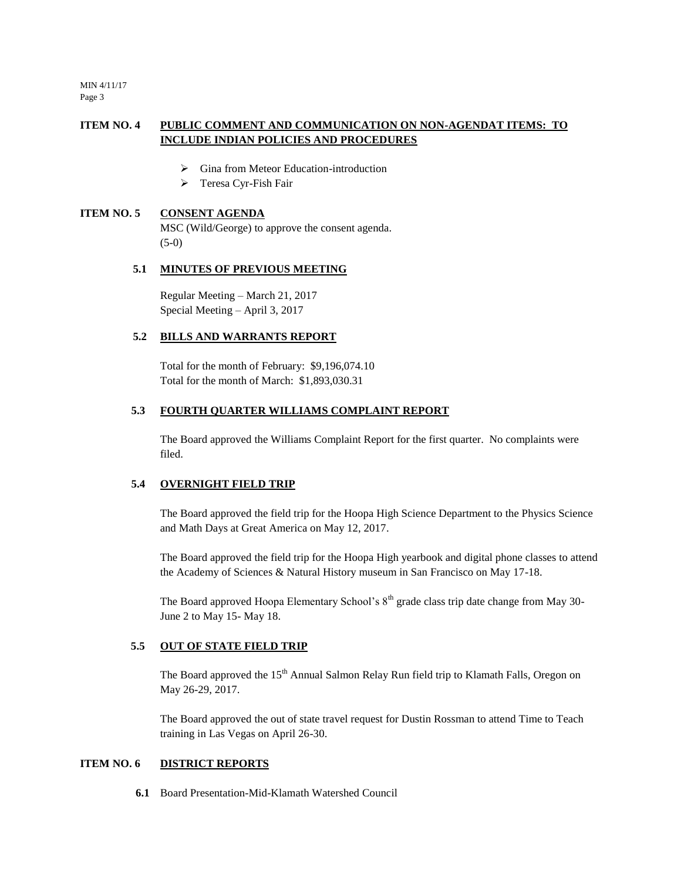MIN 4/11/17 Page 3

# **ITEM NO. 4 PUBLIC COMMENT AND COMMUNICATION ON NON-AGENDAT ITEMS: TO INCLUDE INDIAN POLICIES AND PROCEDURES**

- Gina from Meteor Education-introduction
- > Teresa Cyr-Fish Fair

#### **ITEM NO. 5 CONSENT AGENDA**

MSC (Wild/George) to approve the consent agenda. (5-0)

#### **5.1 MINUTES OF PREVIOUS MEETING**

Regular Meeting – March 21, 2017 Special Meeting – April 3, 2017

# **5.2 BILLS AND WARRANTS REPORT**

Total for the month of February: \$9,196,074.10 Total for the month of March: \$1,893,030.31

### **5.3 FOURTH QUARTER WILLIAMS COMPLAINT REPORT**

The Board approved the Williams Complaint Report for the first quarter. No complaints were filed.

#### **5.4 OVERNIGHT FIELD TRIP**

The Board approved the field trip for the Hoopa High Science Department to the Physics Science and Math Days at Great America on May 12, 2017.

The Board approved the field trip for the Hoopa High yearbook and digital phone classes to attend the Academy of Sciences & Natural History museum in San Francisco on May 17-18.

The Board approved Hoopa Elementary School's  $8<sup>th</sup>$  grade class trip date change from May 30-June 2 to May 15- May 18.

#### **5.5 OUT OF STATE FIELD TRIP**

The Board approved the 15<sup>th</sup> Annual Salmon Relay Run field trip to Klamath Falls, Oregon on May 26-29, 2017.

The Board approved the out of state travel request for Dustin Rossman to attend Time to Teach training in Las Vegas on April 26-30.

#### **ITEM NO. 6 DISTRICT REPORTS**

**6.1** Board Presentation-Mid-Klamath Watershed Council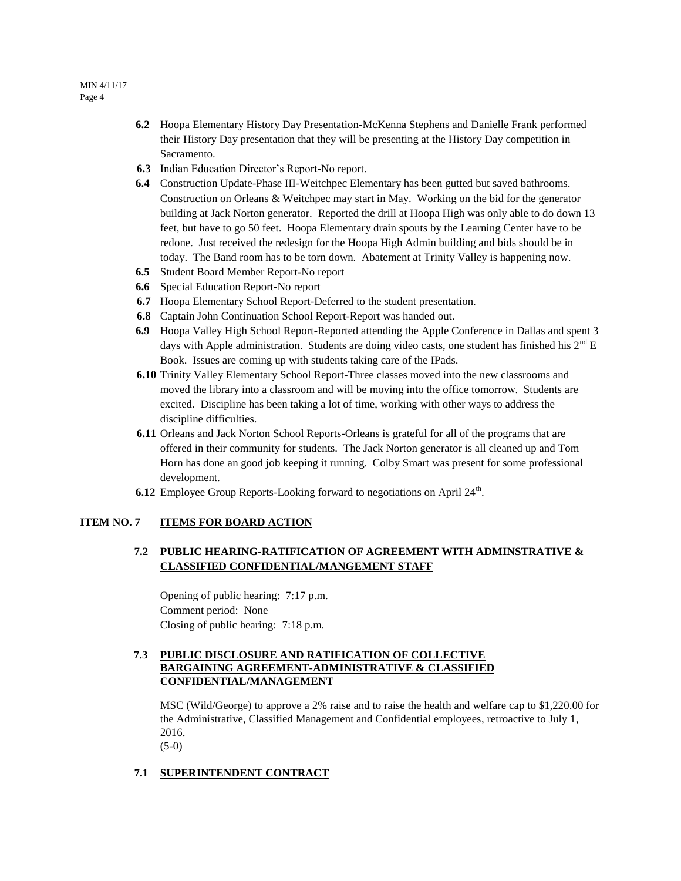- **6.2** Hoopa Elementary History Day Presentation-McKenna Stephens and Danielle Frank performed their History Day presentation that they will be presenting at the History Day competition in Sacramento.
- **6.3** Indian Education Director's Report-No report.
- **6.4** Construction Update-Phase III-Weitchpec Elementary has been gutted but saved bathrooms. Construction on Orleans & Weitchpec may start in May. Working on the bid for the generator building at Jack Norton generator. Reported the drill at Hoopa High was only able to do down 13 feet, but have to go 50 feet. Hoopa Elementary drain spouts by the Learning Center have to be redone. Just received the redesign for the Hoopa High Admin building and bids should be in today. The Band room has to be torn down. Abatement at Trinity Valley is happening now.
- **6.5** Student Board Member Report**-**No report
- **6.6** Special Education Report**-**No report
- **6.7** Hoopa Elementary School Report-Deferred to the student presentation.
- **6.8** Captain John Continuation School Report-Report was handed out.
- **6.9** Hoopa Valley High School Report-Reported attending the Apple Conference in Dallas and spent 3 days with Apple administration. Students are doing video casts, one student has finished his 2<sup>nd</sup> E Book. Issues are coming up with students taking care of the IPads.
- **6.10** Trinity Valley Elementary School Report-Three classes moved into the new classrooms and moved the library into a classroom and will be moving into the office tomorrow. Students are excited. Discipline has been taking a lot of time, working with other ways to address the discipline difficulties.
- **6.11** Orleans and Jack Norton School Reports-Orleans is grateful for all of the programs that are offered in their community for students. The Jack Norton generator is all cleaned up and Tom Horn has done an good job keeping it running. Colby Smart was present for some professional development.
- **6.12** Employee Group Reports-Looking forward to negotiations on April  $24<sup>th</sup>$ .

#### **ITEM NO. 7 ITEMS FOR BOARD ACTION**

# **7.2 PUBLIC HEARING-RATIFICATION OF AGREEMENT WITH ADMINSTRATIVE & CLASSIFIED CONFIDENTIAL/MANGEMENT STAFF**

Opening of public hearing: 7:17 p.m. Comment period: None Closing of public hearing: 7:18 p.m.

# **7.3 PUBLIC DISCLOSURE AND RATIFICATION OF COLLECTIVE BARGAINING AGREEMENT-ADMINISTRATIVE & CLASSIFIED CONFIDENTIAL/MANAGEMENT**

MSC (Wild/George) to approve a 2% raise and to raise the health and welfare cap to \$1,220.00 for the Administrative, Classified Management and Confidential employees, retroactive to July 1, 2016. (5-0)

#### **7.1 SUPERINTENDENT CONTRACT**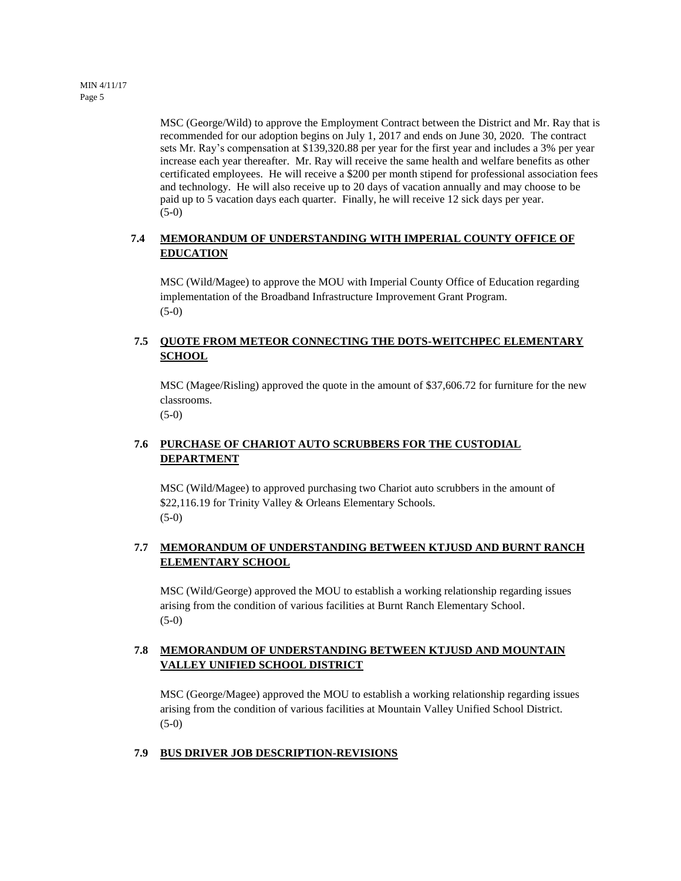MSC (George/Wild) to approve the Employment Contract between the District and Mr. Ray that is recommended for our adoption begins on July 1, 2017 and ends on June 30, 2020. The contract sets Mr. Ray's compensation at \$139,320.88 per year for the first year and includes a 3% per year increase each year thereafter. Mr. Ray will receive the same health and welfare benefits as other certificated employees. He will receive a \$200 per month stipend for professional association fees and technology. He will also receive up to 20 days of vacation annually and may choose to be paid up to 5 vacation days each quarter. Finally, he will receive 12 sick days per year. (5-0)

# **7.4 MEMORANDUM OF UNDERSTANDING WITH IMPERIAL COUNTY OFFICE OF EDUCATION**

MSC (Wild/Magee) to approve the MOU with Imperial County Office of Education regarding implementation of the Broadband Infrastructure Improvement Grant Program. (5-0)

# **7.5 QUOTE FROM METEOR CONNECTING THE DOTS-WEITCHPEC ELEMENTARY SCHOOL**

MSC (Magee/Risling) approved the quote in the amount of \$37,606.72 for furniture for the new classrooms.

 $(5-0)$ 

# **7.6 PURCHASE OF CHARIOT AUTO SCRUBBERS FOR THE CUSTODIAL DEPARTMENT**

MSC (Wild/Magee) to approved purchasing two Chariot auto scrubbers in the amount of \$22,116.19 for Trinity Valley & Orleans Elementary Schools. (5-0)

# **7.7 MEMORANDUM OF UNDERSTANDING BETWEEN KTJUSD AND BURNT RANCH ELEMENTARY SCHOOL**

MSC (Wild/George) approved the MOU to establish a working relationship regarding issues arising from the condition of various facilities at Burnt Ranch Elementary School.  $(5-0)$ 

# **7.8 MEMORANDUM OF UNDERSTANDING BETWEEN KTJUSD AND MOUNTAIN VALLEY UNIFIED SCHOOL DISTRICT**

MSC (George/Magee) approved the MOU to establish a working relationship regarding issues arising from the condition of various facilities at Mountain Valley Unified School District. (5-0)

# **7.9 BUS DRIVER JOB DESCRIPTION-REVISIONS**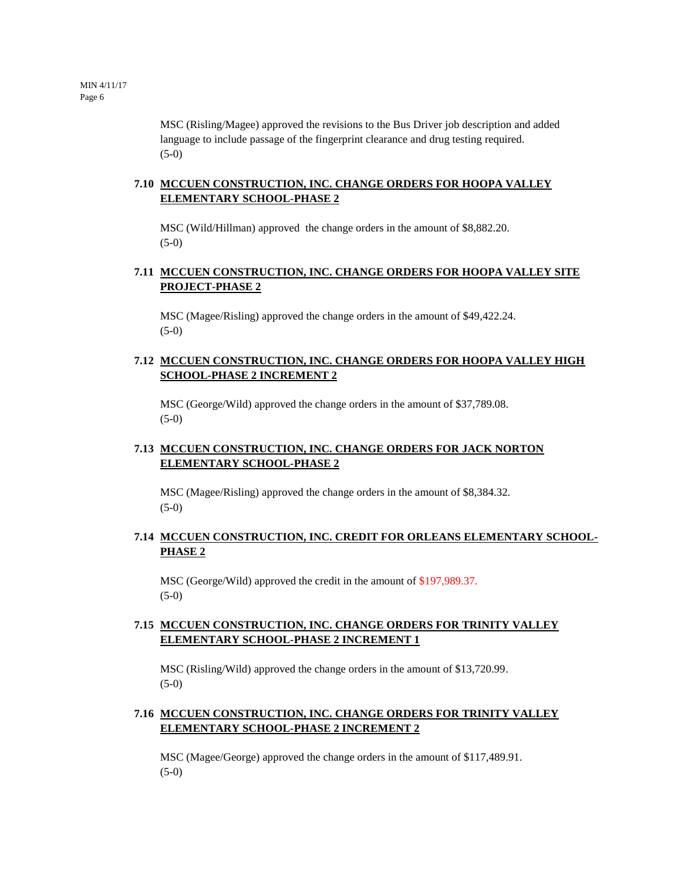MSC (Risling/Magee) approved the revisions to the Bus Driver job description and added language to include passage of the fingerprint clearance and drug testing required. (5-0)

# **7.10 MCCUEN CONSTRUCTION, INC. CHANGE ORDERS FOR HOOPA VALLEY ELEMENTARY SCHOOL-PHASE 2**

MSC (Wild/Hillman) approved the change orders in the amount of \$8,882.20. (5-0)

# **7.11 MCCUEN CONSTRUCTION, INC. CHANGE ORDERS FOR HOOPA VALLEY SITE PROJECT-PHASE 2**

MSC (Magee/Risling) approved the change orders in the amount of \$49,422.24. (5-0)

# **7.12 MCCUEN CONSTRUCTION, INC. CHANGE ORDERS FOR HOOPA VALLEY HIGH SCHOOL-PHASE 2 INCREMENT 2**

MSC (George/Wild) approved the change orders in the amount of \$37,789.08.  $(5-0)$ 

# **7.13 MCCUEN CONSTRUCTION, INC. CHANGE ORDERS FOR JACK NORTON ELEMENTARY SCHOOL-PHASE 2**

MSC (Magee/Risling) approved the change orders in the amount of \$8,384.32. (5-0)

### **7.14 MCCUEN CONSTRUCTION, INC. CREDIT FOR ORLEANS ELEMENTARY SCHOOL-PHASE 2**

MSC (George/Wild) approved the credit in the amount of \$197,989.37. (5-0)

### **7.15 MCCUEN CONSTRUCTION, INC. CHANGE ORDERS FOR TRINITY VALLEY ELEMENTARY SCHOOL-PHASE 2 INCREMENT 1**

MSC (Risling/Wild) approved the change orders in the amount of \$13,720.99. (5-0)

### **7.16 MCCUEN CONSTRUCTION, INC. CHANGE ORDERS FOR TRINITY VALLEY ELEMENTARY SCHOOL-PHASE 2 INCREMENT 2**

MSC (Magee/George) approved the change orders in the amount of \$117,489.91. (5-0)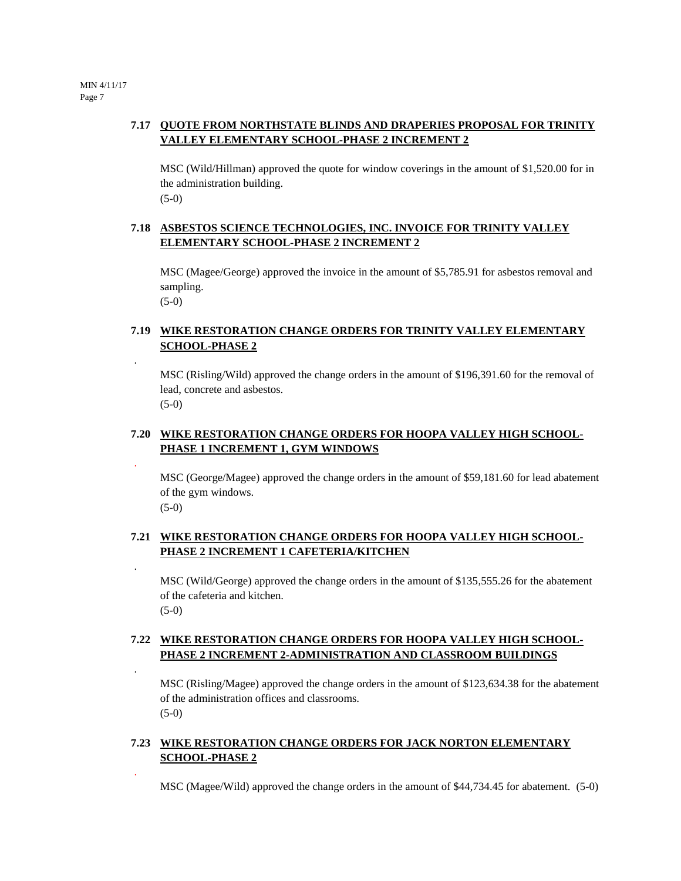# **7.17 QUOTE FROM NORTHSTATE BLINDS AND DRAPERIES PROPOSAL FOR TRINITY VALLEY ELEMENTARY SCHOOL-PHASE 2 INCREMENT 2**

MSC (Wild/Hillman) approved the quote for window coverings in the amount of \$1,520.00 for in the administration building. (5-0)

## **7.18 ASBESTOS SCIENCE TECHNOLOGIES, INC. INVOICE FOR TRINITY VALLEY ELEMENTARY SCHOOL-PHASE 2 INCREMENT 2**

MSC (Magee/George) approved the invoice in the amount of \$5,785.91 for asbestos removal and sampling.

(5-0)

.

.

.

.

.

# **7.19 WIKE RESTORATION CHANGE ORDERS FOR TRINITY VALLEY ELEMENTARY SCHOOL-PHASE 2**

MSC (Risling/Wild) approved the change orders in the amount of \$196,391.60 for the removal of lead, concrete and asbestos. (5-0)

### **7.20 WIKE RESTORATION CHANGE ORDERS FOR HOOPA VALLEY HIGH SCHOOL-PHASE 1 INCREMENT 1, GYM WINDOWS**

MSC (George/Magee) approved the change orders in the amount of \$59,181.60 for lead abatement of the gym windows. (5-0)

# **7.21 WIKE RESTORATION CHANGE ORDERS FOR HOOPA VALLEY HIGH SCHOOL-PHASE 2 INCREMENT 1 CAFETERIA/KITCHEN**

MSC (Wild/George) approved the change orders in the amount of \$135,555.26 for the abatement of the cafeteria and kitchen. (5-0)

# **7.22 WIKE RESTORATION CHANGE ORDERS FOR HOOPA VALLEY HIGH SCHOOL-PHASE 2 INCREMENT 2-ADMINISTRATION AND CLASSROOM BUILDINGS**

MSC (Risling/Magee) approved the change orders in the amount of \$123,634.38 for the abatement of the administration offices and classrooms.  $(5-0)$ 

# **7.23 WIKE RESTORATION CHANGE ORDERS FOR JACK NORTON ELEMENTARY SCHOOL-PHASE 2**

MSC (Magee/Wild) approved the change orders in the amount of \$44,734.45 for abatement. (5-0)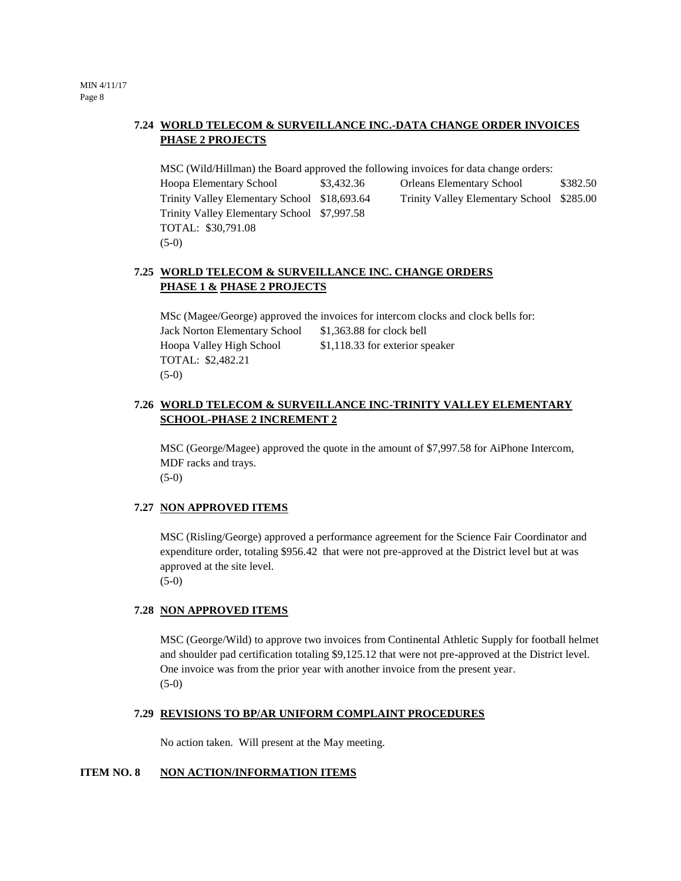# **7.24 WORLD TELECOM & SURVEILLANCE INC.-DATA CHANGE ORDER INVOICES PHASE 2 PROJECTS**

MSC (Wild/Hillman) the Board approved the following invoices for data change orders: Hoopa Elementary School \$3,432.36 Orleans Elementary School \$382.50 Trinity Valley Elementary School \$18,693.64 Trinity Valley Elementary School \$285.00 Trinity Valley Elementary School \$7,997.58 TOTAL: \$30,791.08 (5-0)

# **7.25 WORLD TELECOM & SURVEILLANCE INC. CHANGE ORDERS PHASE 1 & PHASE 2 PROJECTS**

MSc (Magee/George) approved the invoices for intercom clocks and clock bells for: Jack Norton Elementary School \$1,363.88 for clock bell Hoopa Valley High School \$1,118.33 for exterior speaker TOTAL: \$2,482.21 (5-0)

# **7.26 WORLD TELECOM & SURVEILLANCE INC-TRINITY VALLEY ELEMENTARY SCHOOL-PHASE 2 INCREMENT 2**

MSC (George/Magee) approved the quote in the amount of \$7,997.58 for AiPhone Intercom, MDF racks and trays. (5-0)

#### **7.27 NON APPROVED ITEMS**

MSC (Risling/George) approved a performance agreement for the Science Fair Coordinator and expenditure order, totaling \$956.42 that were not pre-approved at the District level but at was approved at the site level. (5-0)

#### **7.28 NON APPROVED ITEMS**

MSC (George/Wild) to approve two invoices from Continental Athletic Supply for football helmet and shoulder pad certification totaling \$9,125.12 that were not pre-approved at the District level. One invoice was from the prior year with another invoice from the present year. (5-0)

#### **7.29 REVISIONS TO BP/AR UNIFORM COMPLAINT PROCEDURES**

No action taken.Will present at the May meeting.

#### **ITEM NO. 8 NON ACTION/INFORMATION ITEMS**